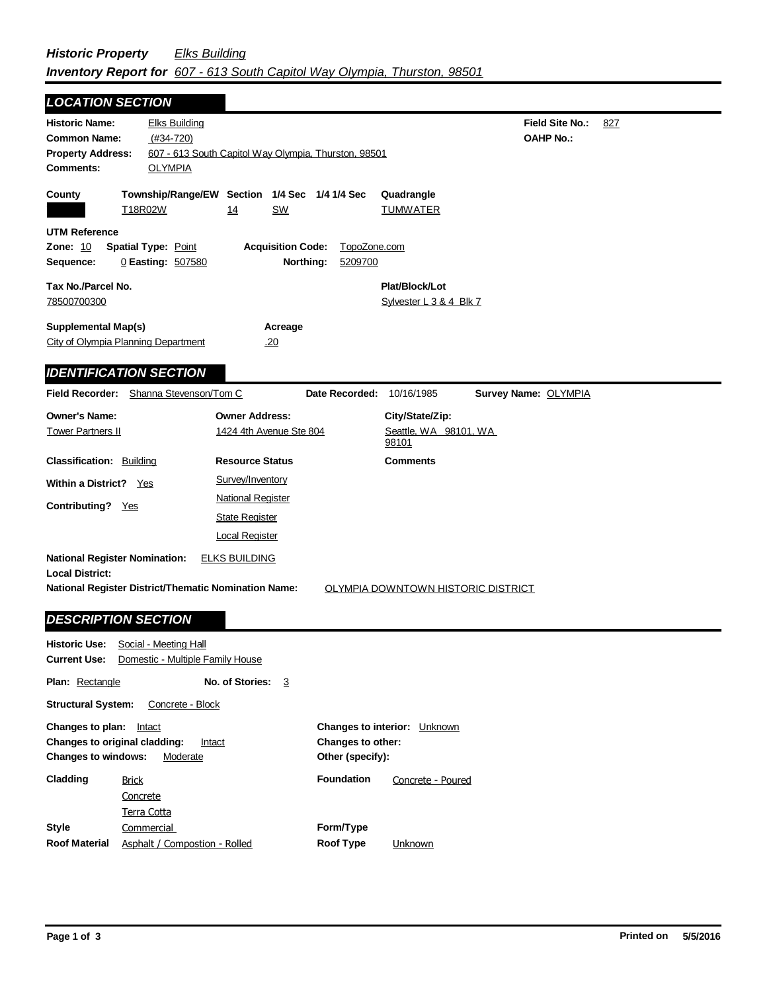## *Historic Property Elks Building Inventory Report for 607 - 613 South Capitol Way Olympia, Thurston, 98501*

| <b>LOCATION SECTION</b>                                                                                      |                                                                                             |                                                                  |                                       |                                                   |                                            |     |
|--------------------------------------------------------------------------------------------------------------|---------------------------------------------------------------------------------------------|------------------------------------------------------------------|---------------------------------------|---------------------------------------------------|--------------------------------------------|-----|
| <b>Historic Name:</b><br><b>Common Name:</b><br><b>Property Address:</b><br><b>Comments:</b>                 | <b>Elks Building</b><br>$(#34-720)$<br><b>OLYMPIA</b>                                       | 607 - 613 South Capitol Way Olympia, Thurston, 98501             |                                       |                                                   | <b>Field Site No.:</b><br><b>OAHP No.:</b> | 827 |
| County                                                                                                       | T18R02W                                                                                     | Township/Range/EW Section 1/4 Sec 1/4 1/4 Sec<br>14<br><u>SW</u> |                                       | Quadrangle<br><b>TUMWATER</b>                     |                                            |     |
| <b>UTM Reference</b><br><b>Zone: 10</b><br>Sequence:                                                         | <b>Spatial Type: Point</b><br>0 Easting: 507580                                             | <b>Acquisition Code:</b><br>Northing:                            | TopoZone.com<br>5209700               |                                                   |                                            |     |
| Tax No./Parcel No.<br>78500700300                                                                            |                                                                                             |                                                                  |                                       | Plat/Block/Lot<br>Sylvester L 3 & 4 Blk 7         |                                            |     |
| <b>Supplemental Map(s)</b>                                                                                   | City of Olympia Planning Department                                                         | Acreage<br>.20                                                   |                                       |                                                   |                                            |     |
|                                                                                                              | <b>IDENTIFICATION SECTION</b>                                                               |                                                                  |                                       |                                                   |                                            |     |
|                                                                                                              | Field Recorder: Shanna Stevenson/Tom C                                                      |                                                                  | Date Recorded: 10/16/1985             |                                                   | Survey Name: OLYMPIA                       |     |
| <b>Owner's Name:</b><br><b>Tower Partners II</b>                                                             |                                                                                             | <b>Owner Address:</b><br>1424 4th Avenue Ste 804                 |                                       | City/State/Zip:<br>Seattle, WA 98101, WA<br>98101 |                                            |     |
| <b>Classification: Building</b>                                                                              |                                                                                             | <b>Resource Status</b>                                           |                                       | <b>Comments</b>                                   |                                            |     |
| <b>Within a District?</b> Yes                                                                                |                                                                                             | Survey/Inventory                                                 |                                       |                                                   |                                            |     |
| Contributing? Yes                                                                                            |                                                                                             | <b>National Register</b>                                         |                                       |                                                   |                                            |     |
|                                                                                                              |                                                                                             | <b>State Register</b>                                            |                                       |                                                   |                                            |     |
|                                                                                                              |                                                                                             | <b>Local Register</b>                                            |                                       |                                                   |                                            |     |
| <b>National Register Nomination:</b><br><b>Local District:</b>                                               |                                                                                             | <b>ELKS BUILDING</b>                                             |                                       |                                                   |                                            |     |
|                                                                                                              | <b>National Register District/Thematic Nomination Name:</b>                                 |                                                                  |                                       | OLYMPIA DOWNTOWN HISTORIC DISTRICT                |                                            |     |
|                                                                                                              | <b>DESCRIPTION SECTION</b>                                                                  |                                                                  |                                       |                                                   |                                            |     |
|                                                                                                              | <b>Historic Use:</b> Social - Meeting Hall<br>Current Use: Domestic - Multiple Family House |                                                                  |                                       |                                                   |                                            |     |
| <b>Plan: Rectangle</b>                                                                                       |                                                                                             | No. of Stories: 3                                                |                                       |                                                   |                                            |     |
| <b>Structural System:</b>                                                                                    | Concrete - Block                                                                            |                                                                  |                                       |                                                   |                                            |     |
| Changes to plan: Intact<br>Changes to original cladding:<br>Intact<br><b>Changes to windows:</b><br>Moderate |                                                                                             |                                                                  | Changes to other:<br>Other (specify): | Changes to interior: Unknown                      |                                            |     |
| Cladding                                                                                                     | <b>Brick</b><br>Concrete<br><b>Terra Cotta</b>                                              |                                                                  | <b>Foundation</b>                     | Concrete - Poured                                 |                                            |     |
| <b>Style</b><br><b>Roof Material</b>                                                                         | Commercial<br>Asphalt / Compostion - Rolled                                                 |                                                                  | Form/Type<br><b>Roof Type</b>         | Unknown                                           |                                            |     |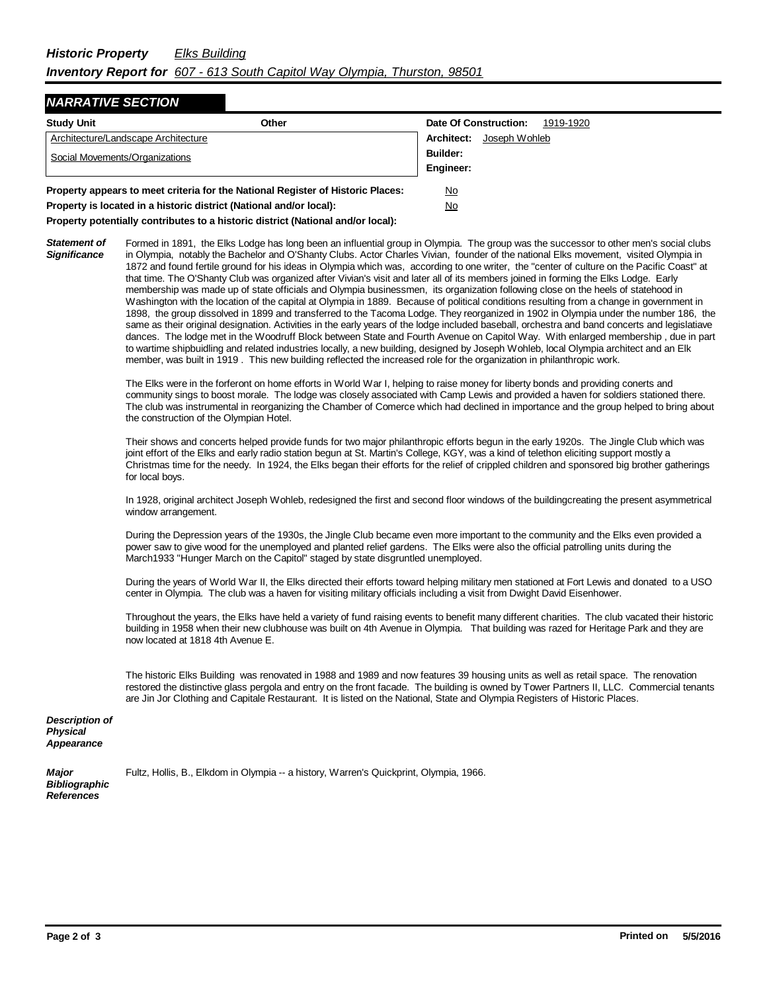## *NARRATIVE SECTION*

| <b>Study Unit</b>                                                               | Other     | Date Of Construction:<br>1919-1920 |  |
|---------------------------------------------------------------------------------|-----------|------------------------------------|--|
| Architecture/Landscape Architecture                                             |           | Joseph Wohleb<br>Architect:        |  |
| Social Movements/Organizations                                                  |           | Builder:                           |  |
|                                                                                 |           | Engineer:                          |  |
| Property appears to meet criteria for the National Register of Historic Places: |           | No                                 |  |
| Property is located in a historic district (National and/or local):             | <u>No</u> |                                    |  |

**Property potentially contributes to a historic district (National and/or local):**

*Statement of Significance* Formed in 1891, the Elks Lodge has long been an influential group in Olympia. The group was the successor to other men's social clubs in Olympia, notably the Bachelor and O'Shanty Clubs. Actor Charles Vivian, founder of the national Elks movement, visited Olympia in 1872 and found fertile ground for his ideas in Olympia which was, according to one writer, the "center of culture on the Pacific Coast" at that time. The O'Shanty Club was organized after Vivian's visit and later all of its members joined in forming the Elks Lodge. Early membership was made up of state officials and Olympia businessmen, its organization following close on the heels of statehood in Washington with the location of the capital at Olympia in 1889. Because of political conditions resulting from a change in government in 1898, the group dissolved in 1899 and transferred to the Tacoma Lodge. They reorganized in 1902 in Olympia under the number 186, the same as their original designation. Activities in the early years of the lodge included baseball, orchestra and band concerts and legislatiave dances. The lodge met in the Woodruff Block between State and Fourth Avenue on Capitol Way. With enlarged membership , due in part to wartime shipbuidling and related industries locally, a new building, designed by Joseph Wohleb, local Olympia architect and an Elk member, was built in 1919 . This new building reflected the increased role for the organization in philanthropic work.

> The Elks were in the forferont on home efforts in World War I, helping to raise money for liberty bonds and providing conerts and community sings to boost morale. The lodge was closely associated with Camp Lewis and provided a haven for soldiers stationed there. The club was instrumental in reorganizing the Chamber of Comerce which had declined in importance and the group helped to bring about the construction of the Olympian Hotel.

> Their shows and concerts helped provide funds for two major philanthropic efforts begun in the early 1920s. The Jingle Club which was joint effort of the Elks and early radio station begun at St. Martin's College, KGY, was a kind of telethon eliciting support mostly a Christmas time for the needy. In 1924, the Elks began their efforts for the relief of crippled children and sponsored big brother gatherings for local boys.

> In 1928, original architect Joseph Wohleb, redesigned the first and second floor windows of the buildingcreating the present asymmetrical window arrangement.

During the Depression years of the 1930s, the Jingle Club became even more important to the community and the Elks even provided a power saw to give wood for the unemployed and planted relief gardens. The Elks were also the official patrolling units during the March1933 "Hunger March on the Capitol" staged by state disgruntled unemployed.

During the years of World War II, the Elks directed their efforts toward helping military men stationed at Fort Lewis and donated to a USO center in Olympia. The club was a haven for visiting military officials including a visit from Dwight David Eisenhower.

Throughout the years, the Elks have held a variety of fund raising events to benefit many different charities. The club vacated their historic building in 1958 when their new clubhouse was built on 4th Avenue in Olympia. That building was razed for Heritage Park and they are now located at 1818 4th Avenue E.

The historic Elks Building was renovated in 1988 and 1989 and now features 39 housing units as well as retail space. The renovation restored the distinctive glass pergola and entry on the front facade. The building is owned by Tower Partners II, LLC. Commercial tenants are Jin Jor Clothing and Capitale Restaurant. It is listed on the National, State and Olympia Registers of Historic Places.

*Description of Physical Appearance*

| Major                | Fultz, Hollis, B., El |
|----------------------|-----------------------|
| <b>Bibliographic</b> |                       |
| <b>References</b>    |                       |

Ikdom in Olympia -- a history, Warren's Quickprint, Olympia, 1966.